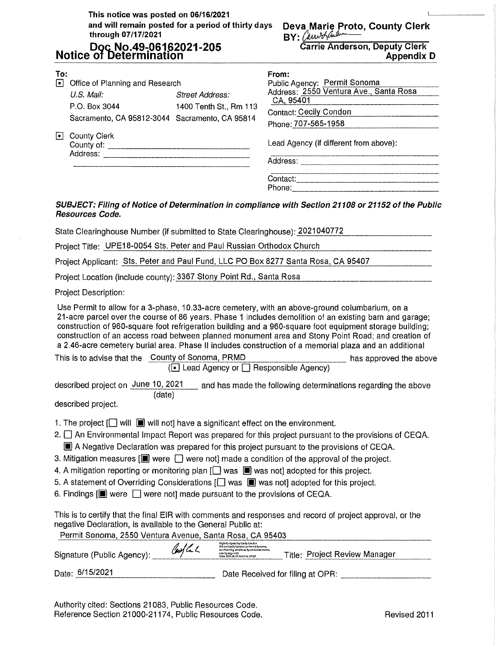**This notice was posted on 06/16/2021 and will remain posted for a period of thirty days through 07/17/2021** 

## **Don. No. 49.06162021-205**

**Deva Marie Proto, County Clerk BY:** Canofally Clark

|     | <b>Notice of Determination</b>                                                                                                                                                  |                                                                                                               | <b>Carrie Anderson, Deputy Giern</b><br><b>Appendix D</b>                                                                                                                                                                                                                                                                                                                                                                                                                                                                                                                         |  |  |  |  |
|-----|---------------------------------------------------------------------------------------------------------------------------------------------------------------------------------|---------------------------------------------------------------------------------------------------------------|-----------------------------------------------------------------------------------------------------------------------------------------------------------------------------------------------------------------------------------------------------------------------------------------------------------------------------------------------------------------------------------------------------------------------------------------------------------------------------------------------------------------------------------------------------------------------------------|--|--|--|--|
| To: | Office of Planning and Research<br>U.S. Mail:<br>P.O. Box 3044<br>Sacramento, CA 95812-3044 Sacramento, CA 95814<br>□ County Clerk                                              | <b>Street Address:</b><br>1400 Tenth St., Rm 113<br><u> 1980 - Johann John Stein, Amerikaansk politiker (</u> | From:<br>Public Agency: Permit Sonoma<br>Address: 2550 Ventura Ave., Santa Rosa<br>CA, 95401<br>Contact: Cecily Condon<br>Phone: 707-565-1958<br>Lead Agency (if different from above):<br>.<br>In the sea the place explained and the first property and the sea and the contract of the same off the same was                                                                                                                                                                                                                                                                   |  |  |  |  |
|     |                                                                                                                                                                                 |                                                                                                               |                                                                                                                                                                                                                                                                                                                                                                                                                                                                                                                                                                                   |  |  |  |  |
|     | <b>Resources Code.</b><br>State Clearinghouse Number (if submitted to State Clearinghouse): 2021040772<br>Project Title: UPE18-0054 Sts. Peter and Paul Russian Orthodox Church |                                                                                                               | SUBJECT: Filing of Notice of Determination in compliance with Section 21108 or 21152 of the Public<br>Project Applicant: Sts. Peter and Paul Fund, LLC PO Box 8277 Santa Rosa, CA 95407                                                                                                                                                                                                                                                                                                                                                                                           |  |  |  |  |
|     |                                                                                                                                                                                 |                                                                                                               |                                                                                                                                                                                                                                                                                                                                                                                                                                                                                                                                                                                   |  |  |  |  |
|     | Project Location (include county): 3367 Stony Point Rd., Santa Rosa                                                                                                             |                                                                                                               | <u> 1980 - Jan Barbara Barbara, manazarta da </u>                                                                                                                                                                                                                                                                                                                                                                                                                                                                                                                                 |  |  |  |  |
|     | <b>Project Description:</b>                                                                                                                                                     |                                                                                                               |                                                                                                                                                                                                                                                                                                                                                                                                                                                                                                                                                                                   |  |  |  |  |
|     | This is to advise that the County of Sonoma, PRMD                                                                                                                               | $\boxed{\blacksquare}$ Lead Agency or $\boxed{\square}$ Responsible Agency)                                   | Use Permit to allow for a 3-phase, 10.33-acre cemetery, with an above-ground columbarium, on a<br>21-acre parcel over the course of 86 years. Phase 1 includes demolition of an existing barn and garage;<br>construction of 960-square foot refrigeration building and a 960-square foot equipment storage building;<br>construction of an access road between planned monument area and Stony Point Road; and creation of<br>a 2.46-acre cemetery burial area. Phase II includes construction of a memorial plaza and an additional<br>_________________ has approved the above |  |  |  |  |
|     | (date)<br>described project.                                                                                                                                                    |                                                                                                               | described project on June 10, 2021 __ and has made the following determinations regarding the above                                                                                                                                                                                                                                                                                                                                                                                                                                                                               |  |  |  |  |
|     |                                                                                                                                                                                 |                                                                                                               |                                                                                                                                                                                                                                                                                                                                                                                                                                                                                                                                                                                   |  |  |  |  |
|     | 1. The project $\Box$ will $\Box$ will not] have a significant effect on the environment.                                                                                       |                                                                                                               |                                                                                                                                                                                                                                                                                                                                                                                                                                                                                                                                                                                   |  |  |  |  |

- 2. □ An Environmental Impact Report was prepared for this project pursuant to the provisions of CEQA. **[j]** A Negative Declaration was prepared for this project pursuant to the provisions of CEQA.
- 3. Mitigation measures [ $\Box$ ] were  $\Box$  were not] made a condition of the approval of the project.
- 4. A mitigation reporting or monitoring plan [ $\Box$  was  $\blacksquare$  was not] adopted for this project.
- 5. A statement of Overriding Considerations [ $\Box$  was  $\blacksquare$  was not] adopted for this project.
- 6. Findings  $[\blacksquare]$  were  $\Box$  were not] made pursuant to the provisions of CEQA.

This is to certify that the final EIR with comments and responses and record of project approval, or the negative Declaration, is available to the General Public at:

| Permit Sonoma, 2550 Ventura Avenue, Santa Rosa, CA 95403 |        |                                                                                                                                                                                |                               |
|----------------------------------------------------------|--------|--------------------------------------------------------------------------------------------------------------------------------------------------------------------------------|-------------------------------|
| Signature (Public Agency):                               | Coolac | Digitally signed by Cecily Condon<br>Dit on Cecily Cordon, on Ferm's Sonoma,<br>ou=Planning.gmall=cecily.condondtonoma-<br>county ora c=US<br>Date: 2021.06.15 16:04:16 -07:07 | Title: Project Review Manager |
| Date: 6/15/2021                                          |        | Date Received for filing at OPR:                                                                                                                                               |                               |

Authority cited: Sections 21083, Public Resources Code. Reference Section 21000-21174, Public Resources Code. Reference Section 2011